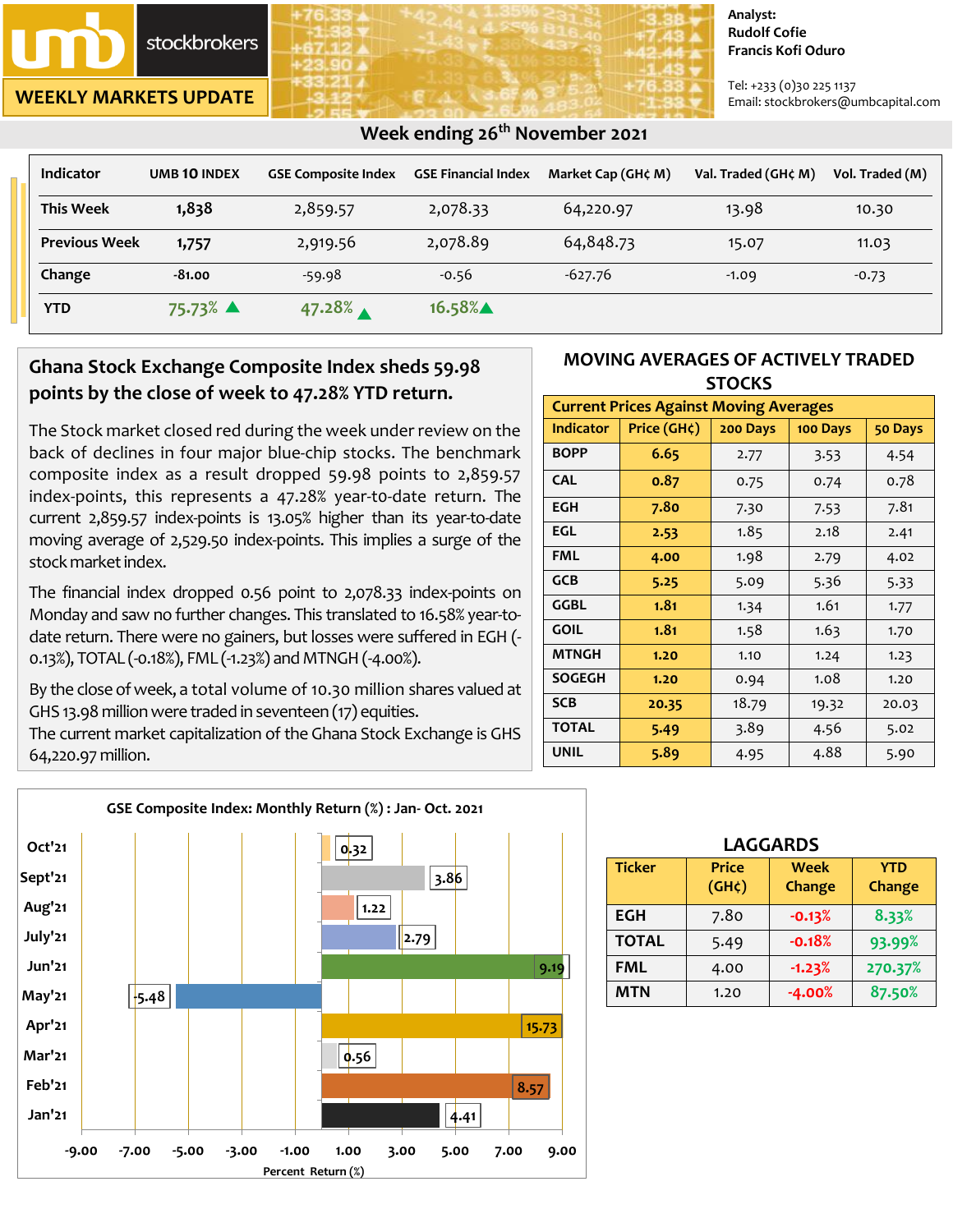**stockbrokers** 

**WEEKLY MARKETS UPDATE**

#### **Analyst: Rudolf Cofie Francis Kofi Oduro**

Tel: +233 (0)30 225 1137 Email: stockbrokers@umbcapital.com

| <b>Indicator</b>     | <b>UMB 10 INDEX</b> | <b>GSE Composite Index</b> | <b>GSE Financial Index</b> | Market Cap (GH¢ M) | Val. Traded (GH¢ M) | Vol. Traded (M) |
|----------------------|---------------------|----------------------------|----------------------------|--------------------|---------------------|-----------------|
| <b>This Week</b>     | 1,838               | 2,859.57                   | 2,078.33                   | 64,220.97          | 13.98               | 10.30           |
| <b>Previous Week</b> | 1,757               | 2,919.56                   | 2,078.89                   | 64,848.73          | 15.07               | 11.03           |
| Change               | -81.00              | -59.98                     | $-0.56$                    | $-627.76$          | $-1.09$             | $-0.73$         |
| <b>YTD</b>           | 75.73% ▲            | 47.28%                     | 16.58%▲                    |                    |                     |                 |

 **Week ending 26th November 2021** 

# **Ghana Stock Exchange Composite Index sheds 59.98 points by the close of week to 47.28% YTD return.**

The Stock market closed red during the week under review on the back of declines in four major blue-chip stocks. The benchmark composite index as a result dropped 59.98 points to 2,859.57 index-points, this represents a 47.28% year-t0-date return. The current 2,859.57 index-points is 13.05% higher than its year-to-date moving average of 2,529.50 index-points. This implies a surge of the stock market index.

The financial index dropped 0.56 point to 2,078.33 index-points on Monday and saw no further changes. This translated to 16.58% year-todate return. There were no gainers, but losses were suffered in EGH (- 0.13%), TOTAL (-0.18%), FML (-1.23%) and MTNGH (-4.00%).

By the close of week, a total volume of 10.30 million shares valued at GHS 13.98 million were traded in seventeen (17) equities.

The current market capitalization of the Ghana Stock Exchange is GHS 64,220.97 million.



### **MOVING AVERAGES OF ACTIVELY TRADED STOCKS**

| <b>Current Prices Against Moving Averages</b> |             |          |          |         |  |  |
|-----------------------------------------------|-------------|----------|----------|---------|--|--|
| <b>Indicator</b>                              | Price (GH¢) | 200 Days | 100 Days | 50 Days |  |  |
| <b>BOPP</b>                                   | 6.65        | 2.77     | 3.53     | 4.54    |  |  |
| <b>CAL</b>                                    | 0.87        | 0.75     | 0.74     | 0.78    |  |  |
| <b>EGH</b>                                    | 7.80        | 7.30     | 7.53     | 7.81    |  |  |
| EGL                                           | 2.53        | 1.85     | 2.18     | 2.41    |  |  |
| FML                                           | 4.00        | 1.98     | 2.79     | 4.02    |  |  |
| <b>GCB</b>                                    | 5.25        | 5.09     | 5.36     | 5.33    |  |  |
| <b>GGBL</b>                                   | 1.81        | 1.34     | 1.61     | 1.77    |  |  |
| <b>GOIL</b>                                   | 1.81        | 1.58     | 1.63     | 1.70    |  |  |
| <b>MTNGH</b>                                  | 1.20        | 1.10     | 1.24     | 1.23    |  |  |
| <b>SOGEGH</b>                                 | 1.20        | 0.94     | 1.08     | 1.20    |  |  |
| <b>SCB</b>                                    | 20.35       | 18.79    | 19.32    | 20.03   |  |  |
| <b>TOTAL</b>                                  | 5.49        | 3.89     | 4.56     | 5.02    |  |  |
| <b>UNIL</b>                                   | 5.89        | 4.95     | 4.88     | 5.90    |  |  |

| <b>LAGGARDS</b> |                                    |                |                      |  |  |  |
|-----------------|------------------------------------|----------------|----------------------|--|--|--|
| <b>Ticker</b>   | <b>Price</b><br>(GH <sub>c</sub> ) | Week<br>Change | <b>YTD</b><br>Change |  |  |  |
| <b>EGH</b>      | 7.80                               | $-0.13%$       | 8.33%                |  |  |  |
| <b>TOTAL</b>    | 5.49                               | $-0.18%$       | 93.99%               |  |  |  |
| <b>FML</b>      | 4.00                               | $-1.23%$       | 270.37%              |  |  |  |
| <b>MTN</b>      | 1.20                               | $-4.00%$       | 87.50%               |  |  |  |